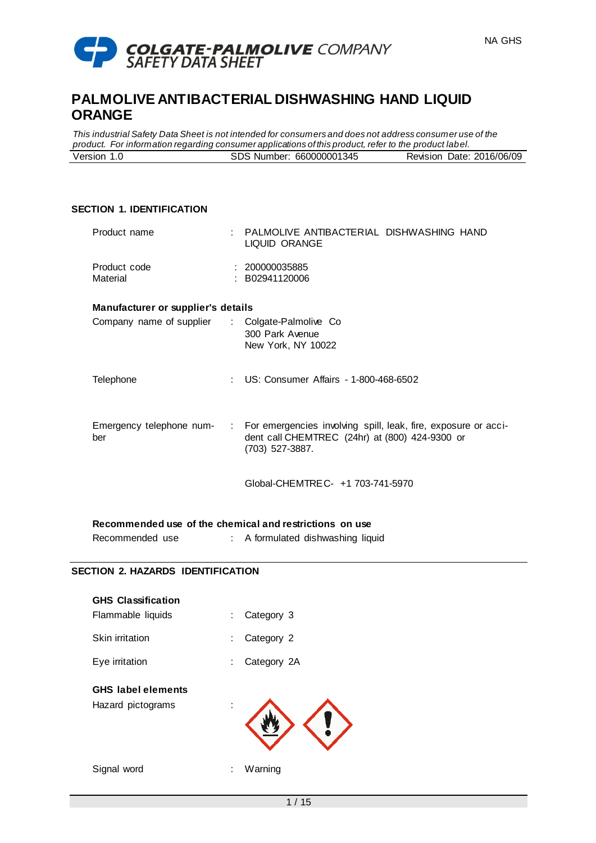

*This industrial Safety Data Sheet is not intended for consumers and does not address consumer use of the product. For information regarding consumer applications of this product, refer to the product label.* Version 1.0 SDS Number: 660000001345 Revision Date: 2016/06/09

# **SECTION 1. IDENTIFICATION**

| Product name                       | PALMOLIVE ANTIBACTERIAL DISHWASHING HAND<br>LIQUID ORANGE                                                                                      |
|------------------------------------|------------------------------------------------------------------------------------------------------------------------------------------------|
| Product code<br>Material           | : 200000035885<br>: B02941120006                                                                                                               |
| Manufacturer or supplier's details |                                                                                                                                                |
| Company name of supplier           | : Colgate-Palmolive Co<br>300 Park Avenue<br>New York, NY 10022                                                                                |
| Telephone                          | : US: Consumer Affairs - 1-800-468-6502                                                                                                        |
| Emergency telephone num-<br>ber    | For emergencies involving spill, leak, fire, exposure or acci-<br>the c<br>dent call CHEMTREC (24hr) at (800) 424-9300 or<br>$(703)$ 527-3887. |
|                                    | Global-CHEMTRE C- +1 703-741-5970                                                                                                              |

**Recommended use of the chemical and restrictions on use**

Recommended use : A formulated dishwashing liquid

# **SECTION 2. HAZARDS IDENTIFICATION**

| <b>GHS Classification</b><br>Flammable liquids | Category 3<br>÷  |
|------------------------------------------------|------------------|
| Skin irritation                                | Category 2<br>÷  |
| Eye irritation                                 | Category 2A<br>÷ |
| <b>GHS</b> label elements<br>Hazard pictograms |                  |
| Signal word                                    | Warning<br>÷     |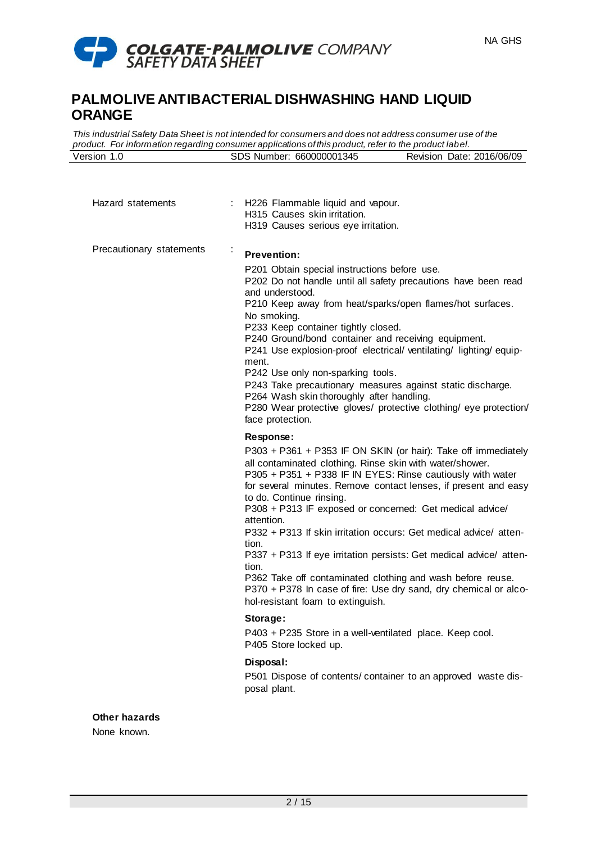

*This industrial Safety Data Sheet is not intended for consumers and does not address consumer use of the product. For information regarding consumer applications of this product, refer to the product label.* Version 1.0 SDS Number: 660000001345 Revision Date: 2016/06/09

| Hazard statements        | : H226 Flammable liquid and vapour.<br>H315 Causes skin irritation.<br>H319 Causes serious eye irritation.                                                                                                                                                                                                                                                                                                                                                                                                                                                                                                                                                                                           |
|--------------------------|------------------------------------------------------------------------------------------------------------------------------------------------------------------------------------------------------------------------------------------------------------------------------------------------------------------------------------------------------------------------------------------------------------------------------------------------------------------------------------------------------------------------------------------------------------------------------------------------------------------------------------------------------------------------------------------------------|
| Precautionary statements | <b>Prevention:</b><br>P201 Obtain special instructions before use.<br>P202 Do not handle until all safety precautions have been read<br>and understood.<br>P210 Keep away from heat/sparks/open flames/hot surfaces.<br>No smoking.<br>P233 Keep container tightly closed.<br>P240 Ground/bond container and receiving equipment.<br>P241 Use explosion-proof electrical/ventilating/lighting/equip-<br>ment.<br>P242 Use only non-sparking tools.<br>P243 Take precautionary measures against static discharge.<br>P264 Wash skin thoroughly after handling.<br>P280 Wear protective gloves/ protective clothing/ eye protection/<br>face protection.                                               |
|                          | Response:                                                                                                                                                                                                                                                                                                                                                                                                                                                                                                                                                                                                                                                                                            |
|                          | P303 + P361 + P353 IF ON SKIN (or hair): Take off immediately<br>all contaminated clothing. Rinse skin with water/shower.<br>P305 + P351 + P338 IF IN EYES: Rinse cautiously with water<br>for several minutes. Remove contact lenses, if present and easy<br>to do. Continue rinsing.<br>P308 + P313 IF exposed or concerned: Get medical advice/<br>attention.<br>P332 + P313 If skin irritation occurs: Get medical advice/ atten-<br>tion.<br>P337 + P313 If eye irritation persists: Get medical advice/ atten-<br>tion.<br>P362 Take off contaminated clothing and wash before reuse.<br>P370 + P378 In case of fire: Use dry sand, dry chemical or alco-<br>hol-resistant foam to extinguish. |
|                          | Storage:<br>P403 + P235 Store in a well-ventilated place. Keep cool.                                                                                                                                                                                                                                                                                                                                                                                                                                                                                                                                                                                                                                 |
|                          | P405 Store locked up.                                                                                                                                                                                                                                                                                                                                                                                                                                                                                                                                                                                                                                                                                |
|                          | Disposal:<br>P501 Dispose of contents/ container to an approved waste dis-<br>posal plant.                                                                                                                                                                                                                                                                                                                                                                                                                                                                                                                                                                                                           |
| <b>Other hazards</b>     |                                                                                                                                                                                                                                                                                                                                                                                                                                                                                                                                                                                                                                                                                                      |

None known.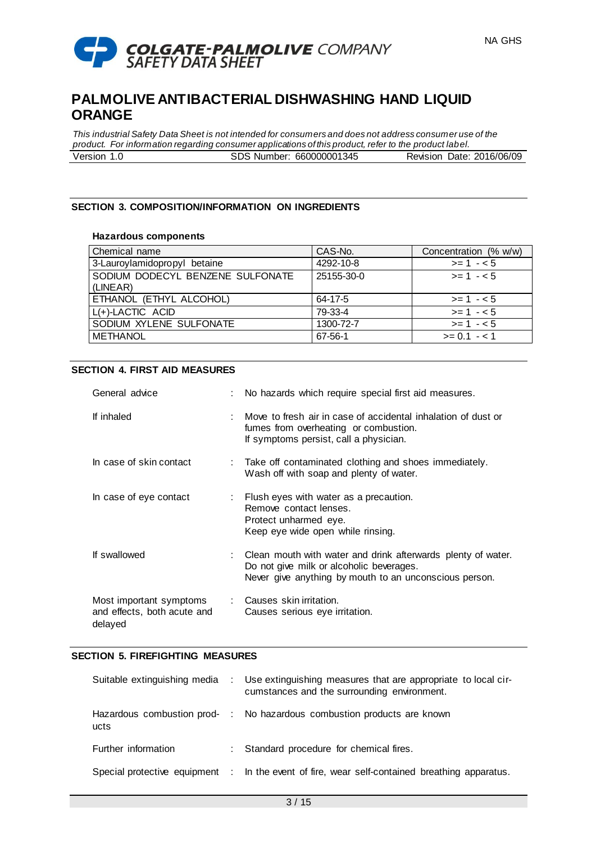

*This industrial Safety Data Sheet is not intended for consumers and does not address consumer use of the product. For information regarding consumer applications of this product, refer to the product label.* Version 1.0 SDS Number: 660000001345 Revision Date: 2016/06/09

### **SECTION 3. COMPOSITION/INFORMATION ON INGREDIENTS**

#### **Hazardous components**

| Chemical name                                | CAS-No.    | Concentration (% w/w) |
|----------------------------------------------|------------|-----------------------|
| 3-Lauroylamidopropyl betaine                 | 4292-10-8  | $>= 1 - 5$            |
| SODIUM DODECYL BENZENE SULFONATE<br>(LINEAR) | 25155-30-0 | $>= 1 - 5$            |
| ETHANOL (ETHYL ALCOHOL)                      | 64-17-5    | $>= 1 - 5$            |
| $L(+)$ -LACTIC ACID                          | 79-33-4    | $>= 1 - 5$            |
| SODIUM XYLENE SULFONATE                      | 1300-72-7  | $>= 1 - 5$            |
| <b>METHANOL</b>                              | 67-56-1    | $>= 0.1 - 1.1$        |

#### **SECTION 4. FIRST AID MEASURES**

| General advice                                                    | : No hazards which require special first aid measures.                                                                                                               |
|-------------------------------------------------------------------|----------------------------------------------------------------------------------------------------------------------------------------------------------------------|
| If inhaled                                                        | : Move to fresh air in case of accidental inhalation of dust or<br>fumes from overheating or combustion.<br>If symptoms persist, call a physician.                   |
| In case of skin contact                                           | : Take off contaminated clothing and shoes immediately.<br>Wash off with soap and plenty of water.                                                                   |
| In case of eye contact                                            | : Flush eyes with water as a precaution.<br>Remove contact lenses.<br>Protect unharmed eye.<br>Keep eye wide open while rinsing.                                     |
| If swallowed                                                      | : Clean mouth with water and drink afterwards plenty of water.<br>Do not give milk or alcoholic beverages.<br>Never give anything by mouth to an unconscious person. |
| Most important symptoms<br>and effects, both acute and<br>delayed | : Causes skin irritation.<br>Causes serious eye irritation.                                                                                                          |

#### **SECTION 5. FIREFIGHTING MEASURES**

| Suitable extinguishing media | : Use extinguishing measures that are appropriate to local cir-<br>cumstances and the surrounding environment. |
|------------------------------|----------------------------------------------------------------------------------------------------------------|
| ucts                         | Hazardous combustion prod- : No hazardous combustion products are known                                        |
| Further information          | : Standard procedure for chemical fires.                                                                       |
|                              | Special protective equipment : In the event of fire, wear self-contained breathing apparatus.                  |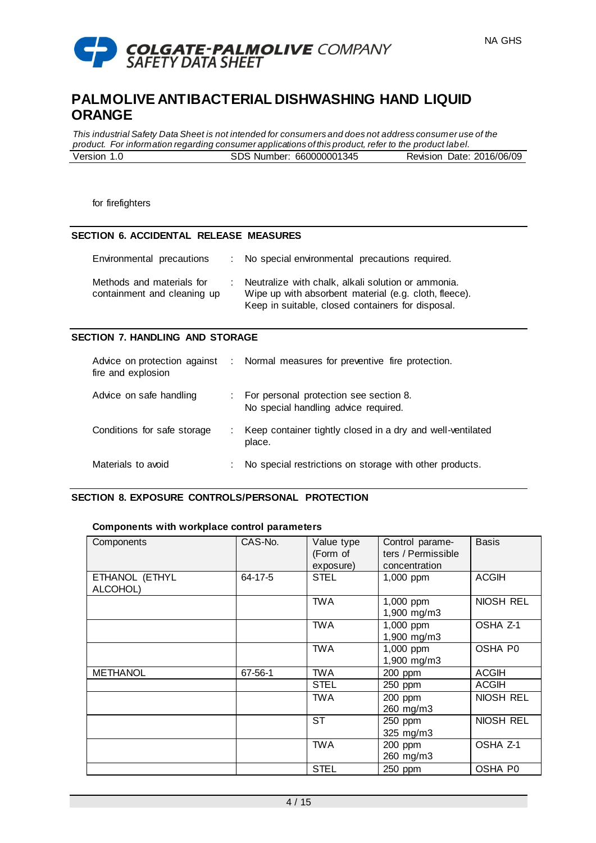

*This industrial Safety Data Sheet is not intended for consumers and does not address consumer use of the product. For information regarding consumer applications of this product, refer to the product label.* Version 1.0 SDS Number: 660000001345 Revision Date: 2016/06/09

for firefighters

### **SECTION 6. ACCIDENTAL RELEASE MEASURES**

| Environmental precautions                                | : No special environmental precautions required.                                                                                                                 |
|----------------------------------------------------------|------------------------------------------------------------------------------------------------------------------------------------------------------------------|
| Methods and materials for<br>containment and cleaning up | Neutralize with chalk, alkali solution or ammonia.<br>Wipe up with absorbent material (e.g. cloth, fleece).<br>Keep in suitable, closed containers for disposal. |

### **SECTION 7. HANDLING AND STORAGE**

| Advice on protection against<br>fire and explosion |   | : Normal measures for preventive fire protection.                              |
|----------------------------------------------------|---|--------------------------------------------------------------------------------|
| Advice on safe handling                            |   | For personal protection see section 8.<br>No special handling advice required. |
| Conditions for safe storage                        |   | Keep container tightly closed in a dry and well-ventilated<br>place.           |
| Materials to avoid                                 | ÷ | No special restrictions on storage with other products.                        |

# **SECTION 8. EXPOSURE CONTROLS/PERSONAL PROTECTION**

#### **Components with workplace control parameters**

| Components                 | CAS-No. | Value type<br>(Form of<br>exposure) | Control parame-<br>ters / Permissible<br>concentration | <b>Basis</b>   |
|----------------------------|---------|-------------------------------------|--------------------------------------------------------|----------------|
| ETHANOL (ETHYL<br>ALCOHOL) | 64-17-5 | <b>STEL</b>                         | $1,000$ ppm                                            | <b>ACGIH</b>   |
|                            |         | <b>TWA</b>                          | 1,000 ppm<br>1,900 mg/m3                               | NIOSH REL      |
|                            |         | <b>TWA</b>                          | 1,000 ppm<br>1,900 mg/m3                               | OSHA Z-1       |
|                            |         | <b>TWA</b>                          | 1,000 ppm<br>1,900 mg/m3                               | OSHA P0        |
| <b>METHANOL</b>            | 67-56-1 | TWA                                 | 200 ppm                                                | <b>ACGIH</b>   |
|                            |         | <b>STEL</b>                         | 250 ppm                                                | <b>ACGIH</b>   |
|                            |         | <b>TWA</b>                          | 200 ppm<br>260 mg/m3                                   | NIOSH REL      |
|                            |         | ST                                  | 250 ppm<br>325 mg/m3                                   | NIOSH REL      |
|                            |         | <b>TWA</b>                          | 200 ppm<br>260 mg/m3                                   | OSHA Z-1       |
|                            |         | <b>STEL</b>                         | 250 ppm                                                | <b>OSHA P0</b> |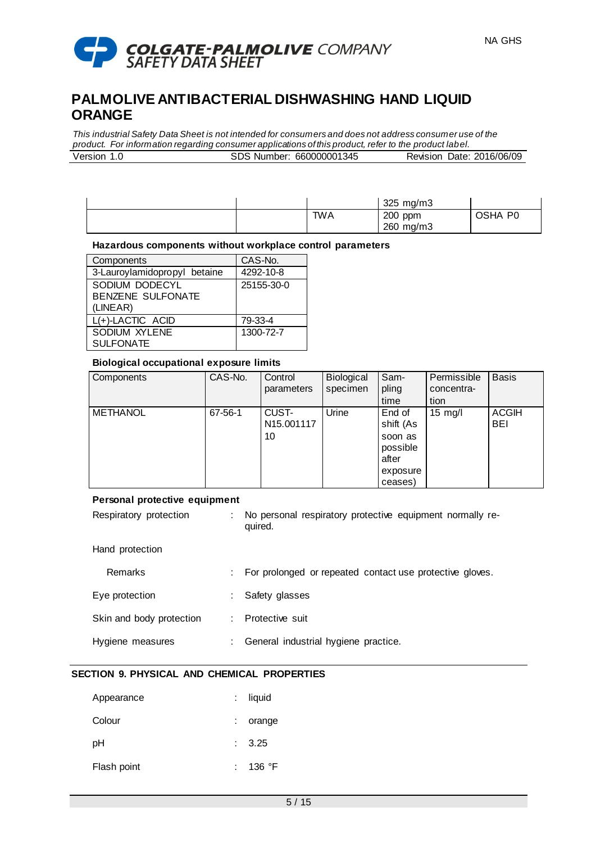

*This industrial Safety Data Sheet is not intended for consumers and does not address consumer use of the product. For information regarding consumer applications of this product, refer to the product label.* Version 1.0 SDS Number: 660000001345 Revision Date: 2016/06/09

|            | 325 mg/m3 |                     |
|------------|-----------|---------------------|
| <b>TWA</b> | 200 ppm   | OSHA P <sub>0</sub> |
|            | 260 mg/m3 |                     |

#### **Hazardous components without workplace control parameters**

| Components                   | CAS-No.    |
|------------------------------|------------|
| 3-Lauroylamidopropyl betaine | 4292-10-8  |
| SODIUM DODECYL               | 25155-30-0 |
| <b>BENZENE SULFONATE</b>     |            |
| (LINEAR)                     |            |
| L(+)-LACTIC ACID             | 79-33-4    |
| <b>SODIUM XYLENE</b>         | 1300-72-7  |
| <b>SULFONATE</b>             |            |

#### **Biological occupational exposure limits**

| Components      | CAS-No. | Control<br>parameters     | Biological<br>specimen | Sam-<br>pling<br>time                                                      | Permissible<br>concentra-<br>tion | <b>Basis</b>               |
|-----------------|---------|---------------------------|------------------------|----------------------------------------------------------------------------|-----------------------------------|----------------------------|
| <b>METHANOL</b> | 67-56-1 | CUST-<br>N15.001117<br>10 | Urine                  | End of<br>shift (As<br>soon as<br>possible<br>after<br>exposure<br>ceases) | $15 \text{ mg/l}$                 | <b>ACGIH</b><br><b>BEI</b> |

#### **Personal protective equipment**

| Respiratory protection | No personal respiratory protective equipment normally re- |  |  |
|------------------------|-----------------------------------------------------------|--|--|
|                        | quired.                                                   |  |  |

#### Hand protection

| Remarks                  | : For prolonged or repeated contact use protective gloves. |
|--------------------------|------------------------------------------------------------|
| Eye protection           | : Safety glasses                                           |
| Skin and body protection | : Protective suit                                          |
| Hygiene measures         | General industrial hygiene practice.                       |

# **SECTION 9. PHYSICAL AND CHEMICAL PROPERTIES**

| Appearance  | : liquid |
|-------------|----------|
| Colour      | orange   |
| рH          | : 3.25   |
| Flash point | : 136 °F |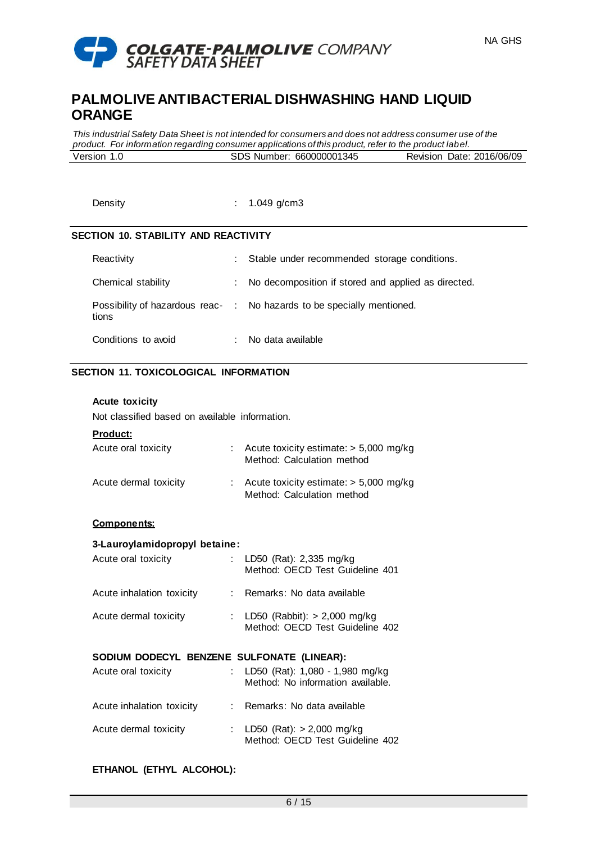

*This industrial Safety Data Sheet is not intended for consumers and does not address consumer use of the product. For information regarding consumer applications of this product, refer to the product label.* Version 1.0 SDS Number: 660000001345 Revision Date: 2016/06/09

Density : 1.049 g/cm3

# **SECTION 10. STABILITY AND REACTIVITY**

| Reactivity          |                            | : Stable under recommended storage conditions.                         |
|---------------------|----------------------------|------------------------------------------------------------------------|
| Chemical stability  | $\mathcal{L}^{\text{max}}$ | No decomposition if stored and applied as directed.                    |
| tions               |                            | Possibility of hazardous reac- : No hazards to be specially mentioned. |
| Conditions to avoid |                            | No data available                                                      |

# **SECTION 11. TOXICOLOGICAL INFORMATION**

### **Acute toxicity**

Not classified based on available information.

### **Product:**

| Acute oral toxicity   | : Acute toxicity estimate: $> 5,000$ mg/kg<br>Method: Calculation method |
|-----------------------|--------------------------------------------------------------------------|
| Acute dermal toxicity | : Acute toxicity estimate: $> 5,000$ mg/kg<br>Method: Calculation method |

### **Components:**

#### **3-Lauroylamidopropyl betaine:**

| Acute oral toxicity       | : LD50 (Rat): 2,335 mg/kg<br>Method: OECD Test Guideline 401      |
|---------------------------|-------------------------------------------------------------------|
| Acute inhalation toxicity | : Remarks: No data available                                      |
| Acute dermal toxicity     | : LD50 (Rabbit): > 2,000 mg/kg<br>Method: OECD Test Guideline 402 |

# **SODIUM DODECYL BENZENE SULFONATE (LINEAR):**

| Acute oral toxicity       | : LD50 (Rat): $1,080 - 1,980$ mg/kg<br>Method: No information available. |
|---------------------------|--------------------------------------------------------------------------|
| Acute inhalation toxicity | : Remarks: No data available                                             |
| Acute dermal toxicity     | : LD50 (Rat): $> 2,000$ mg/kg<br>Method: OECD Test Guideline 402         |

# **ETHANOL (ETHYL ALCOHOL):**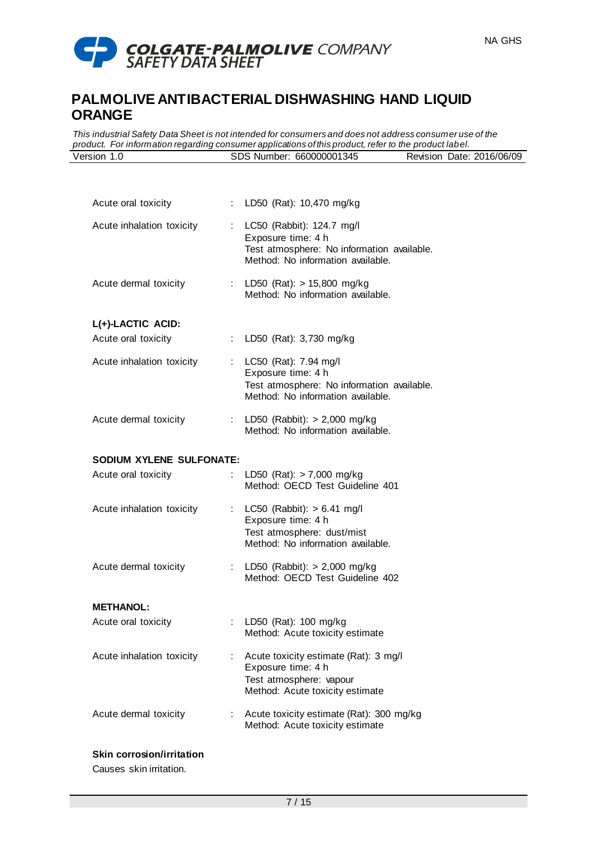

*This industrial Safety Data Sheet is not intended for consumers and does not address consumer use of the product. For information regarding consumer applications of this product, refer to the product label.* Version 1.0 SDS Number: 660000001345 Revision Date: 2016/06/09

| Acute oral toxicity                      |    | : LD50 (Rat): 10,470 mg/kg                                                                                                           |
|------------------------------------------|----|--------------------------------------------------------------------------------------------------------------------------------------|
| Acute inhalation toxicity                |    | : LC50 (Rabbit): 124.7 mg/l<br>Exposure time: 4 h<br>Test atmosphere: No information available.<br>Method: No information available. |
| Acute dermal toxicity                    |    | : LD50 (Rat): $> 15,800$ mg/kg<br>Method: No information available.                                                                  |
|                                          |    |                                                                                                                                      |
| L(+)-LACTIC ACID:<br>Acute oral toxicity |    | : LD50 (Rat): 3,730 mg/kg                                                                                                            |
| Acute inhalation toxicity                |    | : LC50 (Rat): 7.94 mg/l<br>Exposure time: 4 h<br>Test atmosphere: No information available.<br>Method: No information available.     |
| Acute dermal toxicity                    |    | : LD50 (Rabbit): $> 2,000$ mg/kg<br>Method: No information available.                                                                |
| SODIUM XYLENE SULFONATE:                 |    |                                                                                                                                      |
| Acute oral toxicity                      |    | LD50 (Rat): $> 7,000$ mg/kg<br>Method: OECD Test Guideline 401                                                                       |
| Acute inhalation toxicity                |    | : LC50 (Rabbit): $> 6.41$ mg/l<br>Exposure time: 4 h<br>Test atmosphere: dust/mist<br>Method: No information available.              |
| Acute dermal toxicity                    |    | : LD50 (Rabbit): $> 2,000$ mg/kg<br>Method: OECD Test Guideline 402                                                                  |
| <b>METHANOL:</b>                         |    |                                                                                                                                      |
| Acute oral toxicity                      |    | LD50 (Rat): 100 mg/kg<br>Method: Acute toxicity estimate                                                                             |
| Acute inhalation toxicity                | t. | Acute toxicity estimate (Rat): 3 mg/l<br>Exposure time: 4 h<br>Test atmosphere: vapour<br>Method: Acute toxicity estimate            |
| Acute dermal toxicity                    | t. | Acute toxicity estimate (Rat): 300 mg/kg<br>Method: Acute toxicity estimate                                                          |
| <b>Skin corrosion/irritation</b>         |    |                                                                                                                                      |

Causes skin irritation.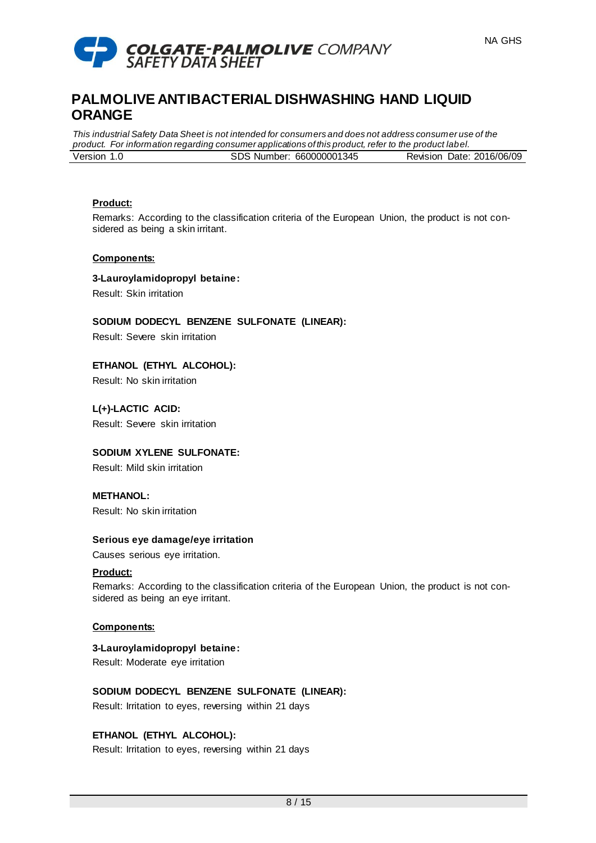

*This industrial Safety Data Sheet is not intended for consumers and does not address consumer use of the product. For information regarding consumer applications of this product, refer to the product label.* Version 1.0 SDS Number: 660000001345 Revision Date: 2016/06/09

#### **Product:**

Remarks: According to the classification criteria of the European Union, the product is not considered as being a skin irritant.

### **Components:**

**3-Lauroylamidopropyl betaine:** Result: Skin irritation

**SODIUM DODECYL BENZENE SULFONATE (LINEAR):**

Result: Severe skin irritation

**ETHANOL (ETHYL ALCOHOL):** Result: No skin irritation

**L(+)-LACTIC ACID:** Result: Severe skin irritation

# **SODIUM XYLENE SULFONATE:**

Result: Mild skin irritation

# **METHANOL:**

Result: No skin irritation

# **Serious eye damage/eye irritation**

Causes serious eye irritation.

#### **Product:**

Remarks: According to the classification criteria of the European Union, the product is not considered as being an eye irritant.

# **Components:**

# **3-Lauroylamidopropyl betaine:**

Result: Moderate eye irritation

# **SODIUM DODECYL BENZENE SULFONATE (LINEAR):**

Result: Irritation to eyes, reversing within 21 days

# **ETHANOL (ETHYL ALCOHOL):**

Result: Irritation to eyes, reversing within 21 days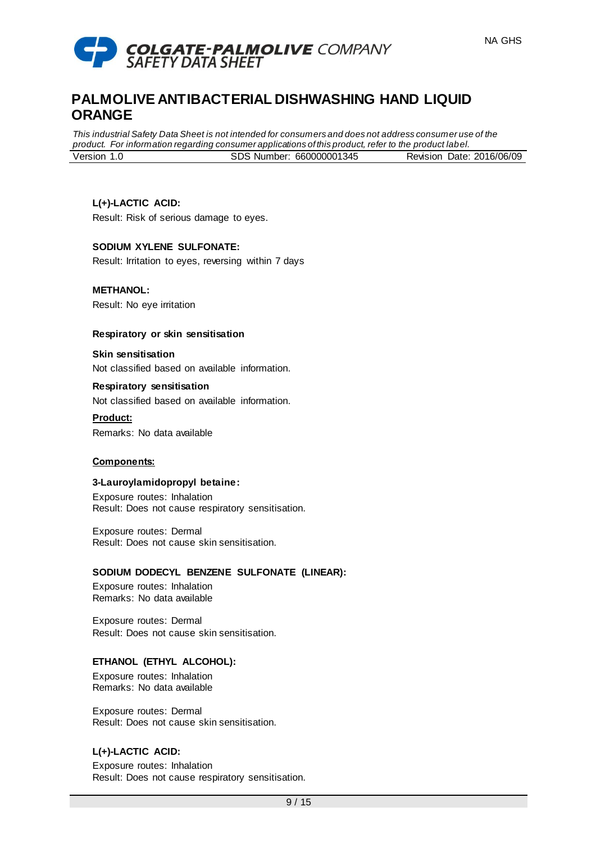

*This industrial Safety Data Sheet is not intended for consumers and does not address consumer use of the product. For information regarding consumer applications of this product, refer to the product label.* Version 1.0 SDS Number: 660000001345 Revision Date: 2016/06/09

# **L(+)-LACTIC ACID:**

Result: Risk of serious damage to eyes.

# **SODIUM XYLENE SULFONATE:**

Result: Irritation to eyes, reversing within 7 days

# **METHANOL:**

Result: No eye irritation

### **Respiratory or skin sensitisation**

**Skin sensitisation** Not classified based on available information.

# **Respiratory sensitisation**

Not classified based on available information.

**Product:** Remarks: No data available

# **Components:**

#### **3-Lauroylamidopropyl betaine:**

Exposure routes: Inhalation Result: Does not cause respiratory sensitisation.

Exposure routes: Dermal Result: Does not cause skin sensitisation.

# **SODIUM DODECYL BENZENE SULFONATE (LINEAR):**

Exposure routes: Inhalation Remarks: No data available

Exposure routes: Dermal Result: Does not cause skin sensitisation.

# **ETHANOL (ETHYL ALCOHOL):**

Exposure routes: Inhalation Remarks: No data available

Exposure routes: Dermal Result: Does not cause skin sensitisation.

# **L(+)-LACTIC ACID:**

Exposure routes: Inhalation Result: Does not cause respiratory sensitisation.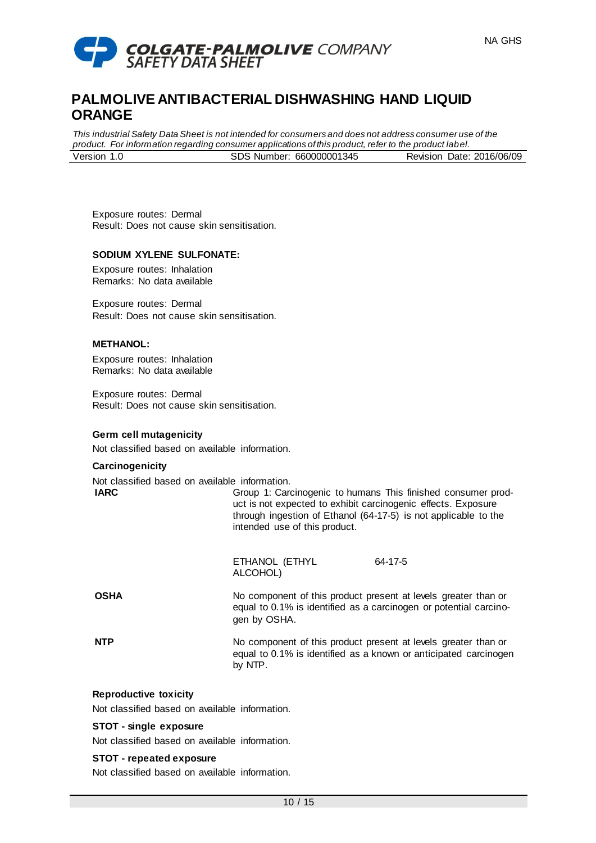

*This industrial Safety Data Sheet is not intended for consumers and does not address consumer use of the product. For information regarding consumer applications of this product, refer to the product label.* Version 1.0 SDS Number: 660000001345 Revision Date: 2016/06/09

Exposure routes: Dermal Result: Does not cause skin sensitisation.

#### **SODIUM XYLENE SULFONATE:**

Exposure routes: Inhalation Remarks: No data available

Exposure routes: Dermal Result: Does not cause skin sensitisation.

#### **METHANOL:**

Exposure routes: Inhalation Remarks: No data available

Exposure routes: Dermal Result: Does not cause skin sensitisation.

#### **Germ cell mutagenicity**

Not classified based on available information.

#### **Carcinogenicity**

Not classified based on available information.

**IARC** Group 1: Carcinogenic to humans This finished consumer product is not expected to exhibit carcinogenic effects. Exposure through ingestion of Ethanol (64-17-5) is not applicable to the intended use of this product.

> ETHANOL (ETHYL ALCOHOL) 64-17-5

**OSHA** No component of this product present at levels greater than or equal to 0.1% is identified as a carcinogen or potential carcinogen by OSHA.

**NTP** No component of this product present at levels greater than or equal to 0.1% is identified as a known or anticipated carcinogen by NTP.

#### **Reproductive toxicity**

Not classified based on available information.

#### **STOT - single exposure**

Not classified based on available information.

#### **STOT - repeated exposure**

Not classified based on available information.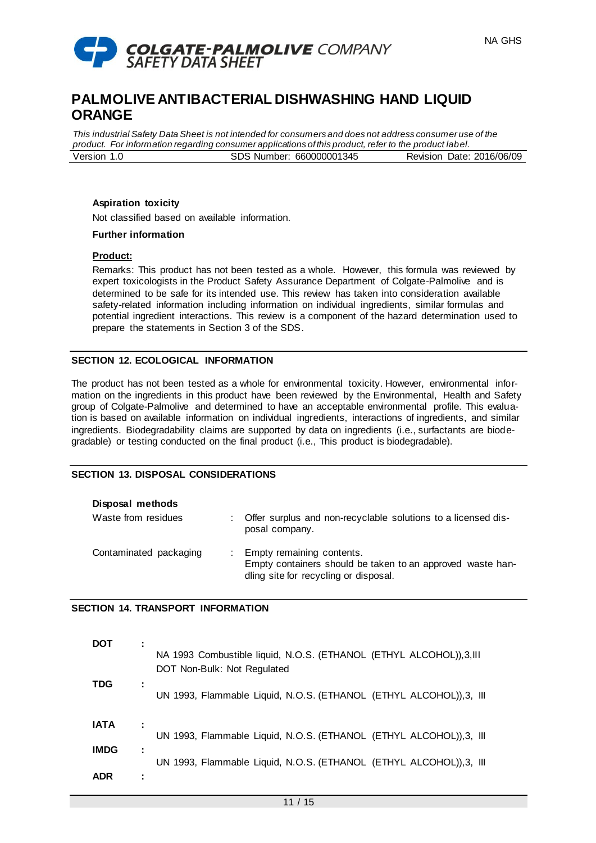

*This industrial Safety Data Sheet is not intended for consumers and does not address consumer use of the product. For information regarding consumer applications of this product, refer to the product label.* Version 1.0 SDS Number: 660000001345 Revision Date: 2016/06/09

# **Aspiration toxicity**

Not classified based on available information.

#### **Further information**

#### **Product:**

Remarks: This product has not been tested as a whole. However, this formula was reviewed by expert toxicologists in the Product Safety Assurance Department of Colgate-Palmolive and is determined to be safe for its intended use. This review has taken into consideration available safety-related information including information on individual ingredients, similar formulas and potential ingredient interactions. This review is a component of the hazard determination used to prepare the statements in Section 3 of the SDS.

### **SECTION 12. ECOLOGICAL INFORMATION**

The product has not been tested as a whole for environmental toxicity. However, environmental information on the ingredients in this product have been reviewed by the Environmental, Health and Safety group of Colgate-Palmolive and determined to have an acceptable environmental profile. This evaluation is based on available information on individual ingredients, interactions of ingredients, and similar ingredients. Biodegradability claims are supported by data on ingredients (i.e., surfactants are biodegradable) or testing conducted on the final product (i.e., This product is biodegradable).

# **SECTION 13. DISPOSAL CONSIDERATIONS**

|  | Disposal methods |
|--|------------------|
|--|------------------|

| Waste from residues    | Offer surplus and non-recyclable solutions to a licensed dis-<br>posal company.                                                  |
|------------------------|----------------------------------------------------------------------------------------------------------------------------------|
| Contaminated packaging | Empty remaining contents.<br>Empty containers should be taken to an approved waste han-<br>dling site for recycling or disposal. |

#### **SECTION 14. TRANSPORT INFORMATION**

| DOT         | NA 1993 Combustible liquid, N.O.S. (ETHANOL (ETHYL ALCOHOL)), 3, III<br>DOT Non-Bulk: Not Regulated |
|-------------|-----------------------------------------------------------------------------------------------------|
| <b>TDG</b>  | UN 1993, Flammable Liquid, N.O.S. (ETHANOL (ETHYL ALCOHOL)), 3, III                                 |
| <b>IATA</b> | UN 1993, Flammable Liquid, N.O.S. (ETHANOL (ETHYL ALCOHOL)), 3, III                                 |
| <b>IMDG</b> | UN 1993, Flammable Liquid, N.O.S. (ETHANOL (ETHYL ALCOHOL)), 3, III                                 |
| <b>ADR</b>  |                                                                                                     |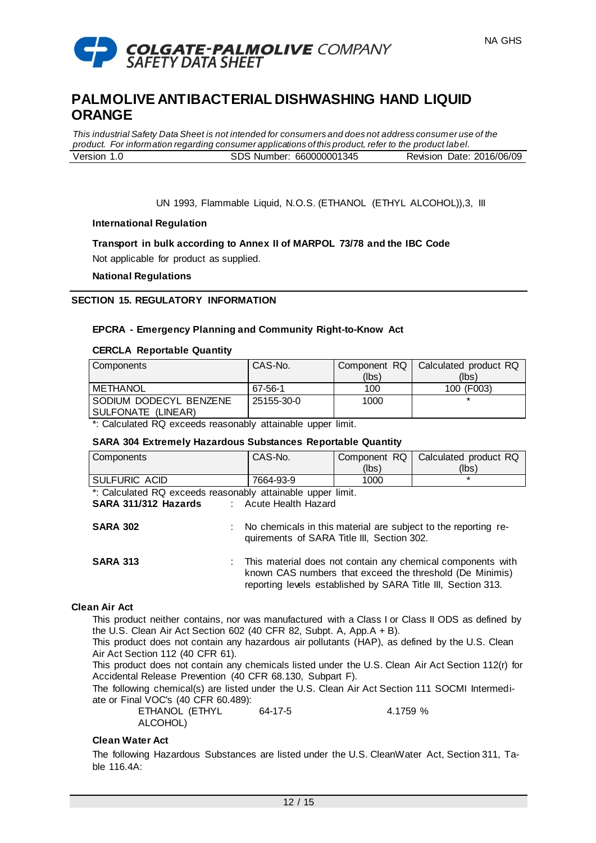

*This industrial Safety Data Sheet is not intended for consumers and does not address consumer use of the product. For information regarding consumer applications of this product, refer to the product label.* Version 1.0 SDS Number: 660000001345 Revision Date: 2016/06/09

UN 1993, Flammable Liquid, N.O.S. (ETHANOL (ETHYL ALCOHOL)),3, III

### **International Regulation**

# **Transport in bulk according to Annex II of MARPOL 73/78 and the IBC Code**

Not applicable for product as supplied.

**National Regulations**

### **SECTION 15. REGULATORY INFORMATION**

### **EPCRA - Emergency Planning and Community Right-to-Know Act**

#### **CERCLA Reportable Quantity**

| Components               | CAS-No.    |       | Component RQ   Calculated product RQ |
|--------------------------|------------|-------|--------------------------------------|
|                          |            | (lbs) | (Ibs)                                |
| METHANOL                 | 67-56-1    | 100   | 100 (F003)                           |
| I SODIUM DODECYL BENZENE | 25155-30-0 | 1000  |                                      |
| SULFONATE (LINEAR)       |            |       |                                      |

\*: Calculated RQ exceeds reasonably attainable upper limit.

#### **SARA 304 Extremely Hazardous Substances Reportable Quantity**

| Components                                                  | CAS-No.                                                                                                      | Component RQ                                                                                                                                                                            | Calculated product RQ |  |
|-------------------------------------------------------------|--------------------------------------------------------------------------------------------------------------|-----------------------------------------------------------------------------------------------------------------------------------------------------------------------------------------|-----------------------|--|
|                                                             |                                                                                                              | (lbs)                                                                                                                                                                                   | (lbs)                 |  |
| SULFURIC ACID                                               | 7664-93-9                                                                                                    | 1000                                                                                                                                                                                    | $\star$               |  |
| *: Calculated RQ exceeds reasonably attainable upper limit. |                                                                                                              |                                                                                                                                                                                         |                       |  |
| SARA 311/312 Hazards                                        | : Acute Health Hazard                                                                                        |                                                                                                                                                                                         |                       |  |
| <b>SARA 302</b>                                             | No chemicals in this material are subject to the reporting re-<br>quirements of SARA Title III, Section 302. |                                                                                                                                                                                         |                       |  |
| <b>SARA 313</b>                                             |                                                                                                              | This material does not contain any chemical components with<br>known CAS numbers that exceed the threshold (De Minimis)<br>reporting levels established by SARA Title III, Section 313. |                       |  |

### **Clean Air Act**

This product neither contains, nor was manufactured with a Class I or Class II ODS as defined by the U.S. Clean Air Act Section 602 (40 CFR 82, Subpt. A, App.A + B).

This product does not contain any hazardous air pollutants (HAP), as defined by the U.S. Clean Air Act Section 112 (40 CFR 61).

This product does not contain any chemicals listed under the U.S. Clean Air Act Section 112(r) for Accidental Release Prevention (40 CFR 68.130, Subpart F).

The following chemical(s) are listed under the U.S. Clean Air Act Section 111 SOCMI Intermediate or Final VOC's (40 CFR 60.489):

| ETHANOL (ETHYL | 64-17-5 | 4.1759 % |
|----------------|---------|----------|
| ALCOHOL)       |         |          |

#### **Clean Water Act**

The following Hazardous Substances are listed under the U.S. CleanWater Act, Section 311, Table 116.4A: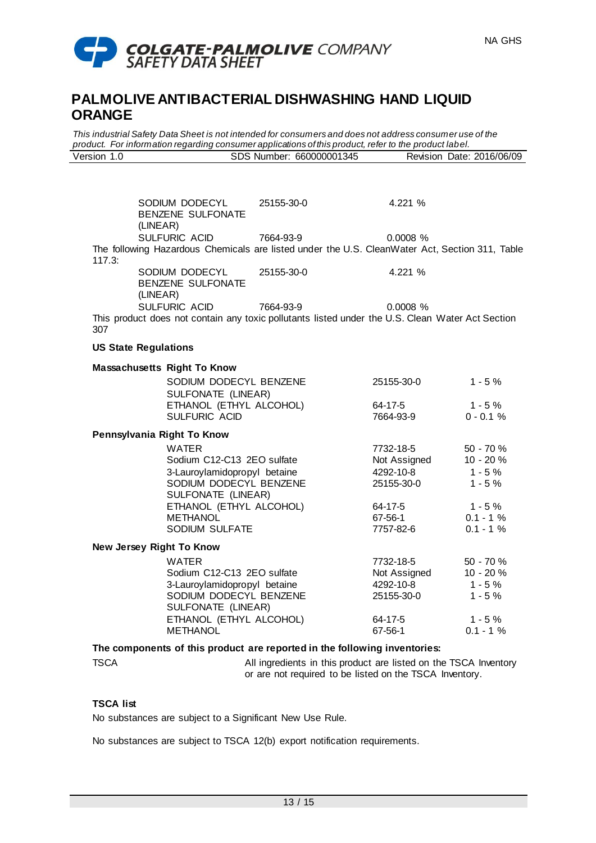

*This industrial Safety Data Sheet is not intended for consumers and does not address consumer use of the product. For information regarding consumer applications of this product, refer to the product label.* Version 1.0 SDS Number: 660000001345 Revision Date: 2016/06/09

SODIUM DODECYL BENZENE SULFONATE (LINEAR) 25155-30-0 4.221 % SULFURIC ACID 7664-93-9 0.0008 % The following Hazardous Chemicals are listed under the U.S. CleanWater Act, Section 311, Table 117.3: SODIUM DODECYL BENZENE SULFONATE (LINEAR) 25155-30-0 4.221 % SULFURIC ACID 7664-93-9 0.0008 % This product does not contain any toxic pollutants listed under the U.S. Clean Water Act Section 307 **US State Regulations Massachusetts Right To Know** SODIUM DODECYL BENZENE SULFONATE (LINEAR) 25155-30-0 1 - 5 % ETHANOL (ETHYL ALCOHOL) 64-17-5 1 - 5 %<br>SULFURIC ACID 7664-93-9 0 - 0.1 % SULFURIC ACID **Pennsylvania Right To Know** WATER 7732-18-5 50 - 70 % Sodium C12-C13 2EO sulfate Not Assigned 10 - 20 % 3-Lauroylamidopropyl betaine 4292-10-8 1 - 5 % SODIUM DODECYL BENZENE SULFONATE (LINEAR) 25155-30-0 1 - 5 % ETHANOL (ETHYL ALCOHOL) 64-17-5 1 - 5 % METHANOL 67-56-1 0.1 - 1 % SODIUM SULFATE  $7757-82-6$  0.1 - 1 % **New Jersey Right To Know** WATER 7732-18-5 50 - 70 % Sodium C12-C13 2EO sulfate Not Assigned 10 - 20 % 3-Lauroylamidopropyl betaine 4292-10-8 1 - 5 % SODIUM DODECYL BENZENE SULFONATE (LINEAR) 25155-30-0 1 - 5 % ETHANOL (ETHYL ALCOHOL) 64-17-5 1 - 5 %<br>METHANOL 67-56-1 0.1 - 1 % METHANOL 67-56-1 0.1 - 1 % **The components of this product are reported in the following inventories:**

TSCA **All ingredients in this product are listed on the TSCA Inventory** or are not required to be listed on the TSCA Inventory.

# **TSCA list**

No substances are subject to a Significant New Use Rule.

No substances are subject to TSCA 12(b) export notification requirements.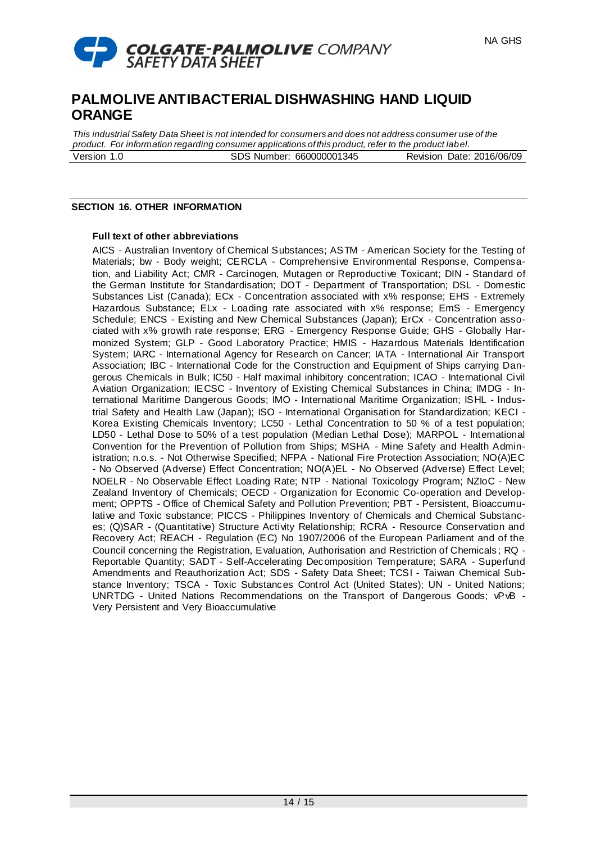

*This industrial Safety Data Sheet is not intended for consumers and does not address consumer use of the product. For information regarding consumer applications of this product, refer to the product label.* Version 1.0 SDS Number: 660000001345 Revision Date: 2016/06/09

### **SECTION 16. OTHER INFORMATION**

#### **Full text of other abbreviations**

AICS - Australian Inventory of Chemical Substances; ASTM - American Society for the Testing of Materials; bw - Body weight; CERCLA - Comprehensive Environmental Response, Compensation, and Liability Act; CMR - Carcinogen, Mutagen or Reproductive Toxicant; DIN - Standard of the German Institute for Standardisation; DOT - Department of Transportation; DSL - Domestic Substances List (Canada); ECx - Concentration associated with x% response; EHS - Extremely Hazardous Substance; ELx - Loading rate associated with x% response; EmS - Emergency Schedule; ENCS - Existing and New Chemical Substances (Japan); ErCx - Concentration associated with x% growth rate response; ERG - Emergency Response Guide; GHS - Globally Harmonized System; GLP - Good Laboratory Practice; HMIS - Hazardous Materials Identification System; IARC - International Agency for Research on Cancer; IATA - International Air Transport Association; IBC - International Code for the Construction and Equipment of Ships carrying Dangerous Chemicals in Bulk; IC50 - Half maximal inhibitory concentration; ICAO - International Civil Aviation Organization; IECSC - Inventory of Existing Chemical Substances in China; IMDG - International Maritime Dangerous Goods; IMO - International Maritime Organization; ISHL - Industrial Safety and Health Law (Japan); ISO - International Organisation for Standardization; KECI - Korea Existing Chemicals Inventory; LC50 - Lethal Concentration to 50 % of a test population; LD50 - Lethal Dose to 50% of a test population (Median Lethal Dose); MARPOL - International Convention for the Prevention of Pollution from Ships; MSHA - Mine Safety and Health Administration; n.o.s. - Not Otherwise Specified; NFPA - National Fire Protection Association; NO(A)EC - No Observed (Adverse) Effect Concentration; NO(A)EL - No Observed (Adverse) Effect Level; NOELR - No Observable Effect Loading Rate; NTP - National Toxicology Program; NZIoC - New Zealand Inventory of Chemicals; OECD - Organization for Economic Co-operation and Development; OPPTS - Office of Chemical Safety and Pollution Prevention; PBT - Persistent, Bioaccumulative and Toxic substance; PICCS - Philippines Inventory of Chemicals and Chemical Substances; (Q)SAR - (Quantitative) Structure Activity Relationship; RCRA - Resource Conservation and Recovery Act; REACH - Regulation (EC) No 1907/2006 of the European Parliament and of the Council concerning the Registration, Evaluation, Authorisation and Restriction of Chemicals ; RQ - Reportable Quantity; SADT - Self-Accelerating Decomposition Temperature; SARA - Superfund Amendments and Reauthorization Act; SDS - Safety Data Sheet; TCSI - Taiwan Chemical Substance Inventory; TSCA - Toxic Substances Control Act (United States); UN - United Nations; UNRTDG - United Nations Recommendations on the Transport of Dangerous Goods; vPvB - Very Persistent and Very Bioaccumulative